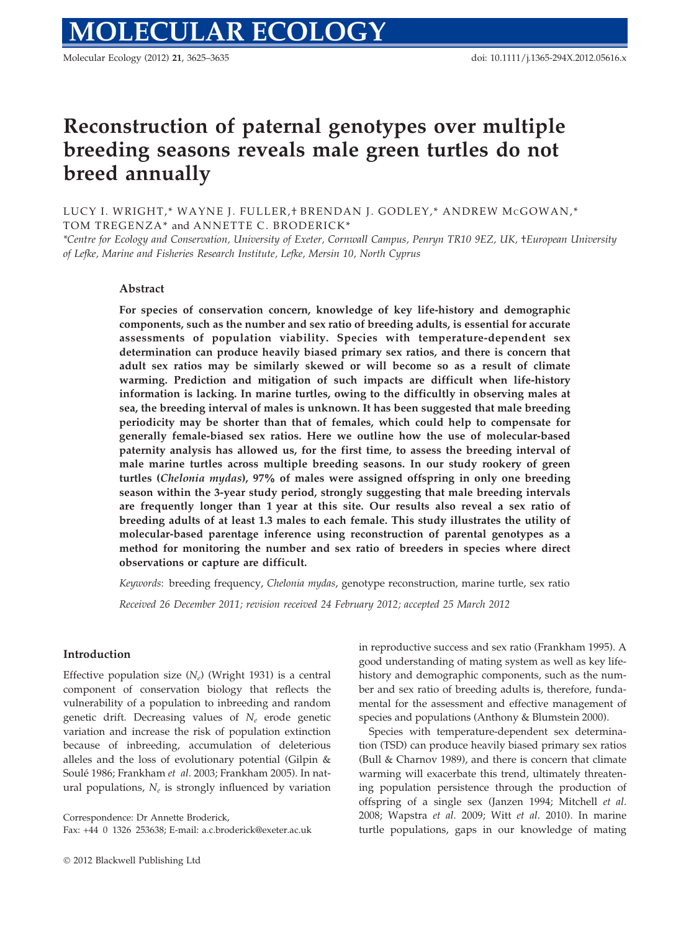Molecular Ecology (2012) 21, 3625–3635 doi: 10.1111/j.1365-294X.2012.05616.x

# Reconstruction of paternal genotypes over multiple breeding seasons reveals male green turtles do not breed annually

LUCY I. WRIGHT,\* WAYNE J. FULLER,† BRENDAN J. GODLEY,\* ANDREW MCGOWAN,\* TOM TREGENZA\* and ANNETTE C. BRODERICK\*

\*Centre for Ecology and Conservation, University of Exeter, Cornwall Campus, Penryn TR10 9EZ, UK, †European University of Lefke, Marine and Fisheries Research Institute, Lefke, Mersin 10, North Cyprus

# Abstract

For species of conservation concern, knowledge of key life-history and demographic components, such as the number and sex ratio of breeding adults, is essential for accurate assessments of population viability. Species with temperature-dependent sex determination can produce heavily biased primary sex ratios, and there is concern that adult sex ratios may be similarly skewed or will become so as a result of climate warming. Prediction and mitigation of such impacts are difficult when life-history information is lacking. In marine turtles, owing to the difficultly in observing males at sea, the breeding interval of males is unknown. It has been suggested that male breeding periodicity may be shorter than that of females, which could help to compensate for generally female-biased sex ratios. Here we outline how the use of molecular-based paternity analysis has allowed us, for the first time, to assess the breeding interval of male marine turtles across multiple breeding seasons. In our study rookery of green turtles (Chelonia mydas), 97% of males were assigned offspring in only one breeding season within the 3-year study period, strongly suggesting that male breeding intervals are frequently longer than 1 year at this site. Our results also reveal a sex ratio of breeding adults of at least 1.3 males to each female. This study illustrates the utility of molecular-based parentage inference using reconstruction of parental genotypes as a method for monitoring the number and sex ratio of breeders in species where direct observations or capture are difficult.

Keywords: breeding frequency, Chelonia mydas, genotype reconstruction, marine turtle, sex ratio

Received 26 December 2011; revision received 24 February 2012; accepted 25 March 2012

## Introduction

Effective population size  $(N_e)$  (Wright 1931) is a central component of conservation biology that reflects the vulnerability of a population to inbreeding and random genetic drift. Decreasing values of  $N_e$  erode genetic variation and increase the risk of population extinction because of inbreeding, accumulation of deleterious alleles and the loss of evolutionary potential (Gilpin & Soulé 1986; Frankham et al. 2003; Frankham 2005). In natural populations,  $N_e$  is strongly influenced by variation

Correspondence: Dr Annette Broderick,

Fax: +44 0 1326 253638; E-mail: a.c.broderick@exeter.ac.uk

in reproductive success and sex ratio (Frankham 1995). A good understanding of mating system as well as key lifehistory and demographic components, such as the number and sex ratio of breeding adults is, therefore, fundamental for the assessment and effective management of species and populations (Anthony & Blumstein 2000).

Species with temperature-dependent sex determination (TSD) can produce heavily biased primary sex ratios (Bull & Charnov 1989), and there is concern that climate warming will exacerbate this trend, ultimately threatening population persistence through the production of offspring of a single sex (Janzen 1994; Mitchell et al. 2008; Wapstra et al. 2009; Witt et al. 2010). In marine turtle populations, gaps in our knowledge of mating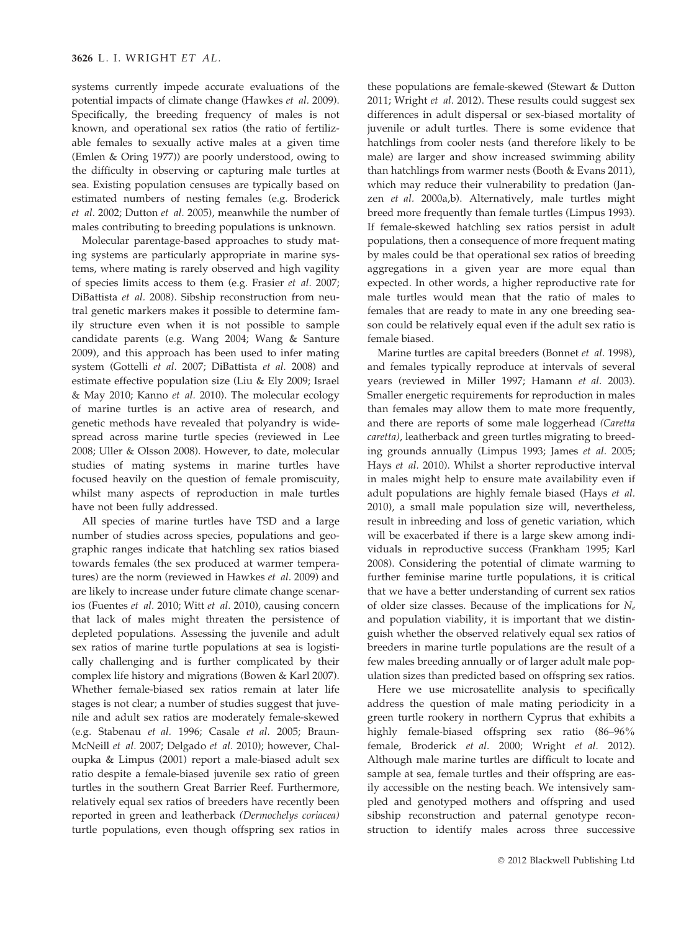systems currently impede accurate evaluations of the potential impacts of climate change (Hawkes et al. 2009). Specifically, the breeding frequency of males is not known, and operational sex ratios (the ratio of fertilizable females to sexually active males at a given time (Emlen & Oring 1977)) are poorly understood, owing to the difficulty in observing or capturing male turtles at sea. Existing population censuses are typically based on estimated numbers of nesting females (e.g. Broderick et al. 2002; Dutton et al. 2005), meanwhile the number of males contributing to breeding populations is unknown.

Molecular parentage-based approaches to study mating systems are particularly appropriate in marine systems, where mating is rarely observed and high vagility of species limits access to them (e.g. Frasier et al. 2007; DiBattista et al. 2008). Sibship reconstruction from neutral genetic markers makes it possible to determine family structure even when it is not possible to sample candidate parents (e.g. Wang 2004; Wang & Santure 2009), and this approach has been used to infer mating system (Gottelli et al. 2007; DiBattista et al. 2008) and estimate effective population size (Liu & Ely 2009; Israel & May 2010; Kanno et al. 2010). The molecular ecology of marine turtles is an active area of research, and genetic methods have revealed that polyandry is widespread across marine turtle species (reviewed in Lee 2008; Uller & Olsson 2008). However, to date, molecular studies of mating systems in marine turtles have focused heavily on the question of female promiscuity, whilst many aspects of reproduction in male turtles have not been fully addressed.

All species of marine turtles have TSD and a large number of studies across species, populations and geographic ranges indicate that hatchling sex ratios biased towards females (the sex produced at warmer temperatures) are the norm (reviewed in Hawkes et al. 2009) and are likely to increase under future climate change scenarios (Fuentes et al. 2010; Witt et al. 2010), causing concern that lack of males might threaten the persistence of depleted populations. Assessing the juvenile and adult sex ratios of marine turtle populations at sea is logistically challenging and is further complicated by their complex life history and migrations (Bowen & Karl 2007). Whether female-biased sex ratios remain at later life stages is not clear; a number of studies suggest that juvenile and adult sex ratios are moderately female-skewed (e.g. Stabenau et al. 1996; Casale et al. 2005; Braun-McNeill et al. 2007; Delgado et al. 2010); however, Chaloupka & Limpus (2001) report a male-biased adult sex ratio despite a female-biased juvenile sex ratio of green turtles in the southern Great Barrier Reef. Furthermore, relatively equal sex ratios of breeders have recently been reported in green and leatherback (Dermochelys coriacea) turtle populations, even though offspring sex ratios in

these populations are female-skewed (Stewart & Dutton 2011; Wright et al. 2012). These results could suggest sex differences in adult dispersal or sex-biased mortality of juvenile or adult turtles. There is some evidence that hatchlings from cooler nests (and therefore likely to be male) are larger and show increased swimming ability than hatchlings from warmer nests (Booth & Evans 2011), which may reduce their vulnerability to predation (Janzen et al. 2000a,b). Alternatively, male turtles might breed more frequently than female turtles (Limpus 1993). If female-skewed hatchling sex ratios persist in adult populations, then a consequence of more frequent mating by males could be that operational sex ratios of breeding aggregations in a given year are more equal than expected. In other words, a higher reproductive rate for male turtles would mean that the ratio of males to females that are ready to mate in any one breeding season could be relatively equal even if the adult sex ratio is female biased.

Marine turtles are capital breeders (Bonnet et al. 1998), and females typically reproduce at intervals of several years (reviewed in Miller 1997; Hamann et al. 2003). Smaller energetic requirements for reproduction in males than females may allow them to mate more frequently, and there are reports of some male loggerhead (Caretta caretta), leatherback and green turtles migrating to breeding grounds annually (Limpus 1993; James et al. 2005; Hays et al. 2010). Whilst a shorter reproductive interval in males might help to ensure mate availability even if adult populations are highly female biased (Hays et al. 2010), a small male population size will, nevertheless, result in inbreeding and loss of genetic variation, which will be exacerbated if there is a large skew among individuals in reproductive success (Frankham 1995; Karl 2008). Considering the potential of climate warming to further feminise marine turtle populations, it is critical that we have a better understanding of current sex ratios of older size classes. Because of the implications for  $N_e$ and population viability, it is important that we distinguish whether the observed relatively equal sex ratios of breeders in marine turtle populations are the result of a few males breeding annually or of larger adult male population sizes than predicted based on offspring sex ratios.

Here we use microsatellite analysis to specifically address the question of male mating periodicity in a green turtle rookery in northern Cyprus that exhibits a highly female-biased offspring sex ratio (86–96% female, Broderick et al. 2000; Wright et al. 2012). Although male marine turtles are difficult to locate and sample at sea, female turtles and their offspring are easily accessible on the nesting beach. We intensively sampled and genotyped mothers and offspring and used sibship reconstruction and paternal genotype reconstruction to identify males across three successive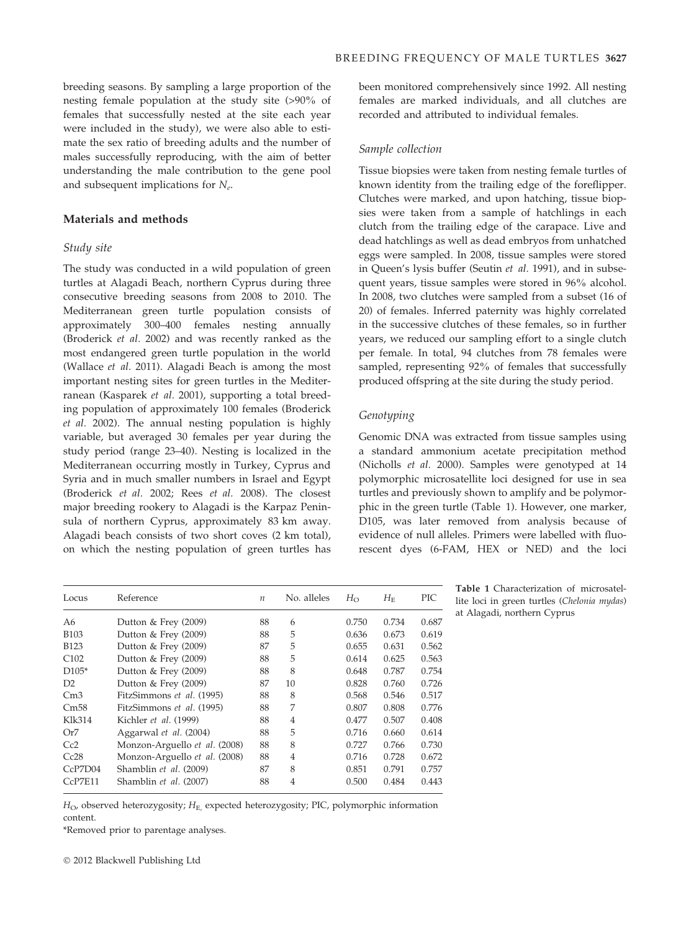breeding seasons. By sampling a large proportion of the nesting female population at the study site (>90% of females that successfully nested at the site each year were included in the study), we were also able to estimate the sex ratio of breeding adults and the number of males successfully reproducing, with the aim of better understanding the male contribution to the gene pool and subsequent implications for  $N_e$ .

# Materials and methods

#### Study site

The study was conducted in a wild population of green turtles at Alagadi Beach, northern Cyprus during three consecutive breeding seasons from 2008 to 2010. The Mediterranean green turtle population consists of approximately 300–400 females nesting annually (Broderick et al. 2002) and was recently ranked as the most endangered green turtle population in the world (Wallace et al. 2011). Alagadi Beach is among the most important nesting sites for green turtles in the Mediterranean (Kasparek et al. 2001), supporting a total breeding population of approximately 100 females (Broderick et al. 2002). The annual nesting population is highly variable, but averaged 30 females per year during the study period (range 23–40). Nesting is localized in the Mediterranean occurring mostly in Turkey, Cyprus and Syria and in much smaller numbers in Israel and Egypt (Broderick et al. 2002; Rees et al. 2008). The closest major breeding rookery to Alagadi is the Karpaz Peninsula of northern Cyprus, approximately 83 km away. Alagadi beach consists of two short coves (2 km total), on which the nesting population of green turtles has

been monitored comprehensively since 1992. All nesting females are marked individuals, and all clutches are recorded and attributed to individual females.

#### Sample collection

Tissue biopsies were taken from nesting female turtles of known identity from the trailing edge of the foreflipper. Clutches were marked, and upon hatching, tissue biopsies were taken from a sample of hatchlings in each clutch from the trailing edge of the carapace. Live and dead hatchlings as well as dead embryos from unhatched eggs were sampled. In 2008, tissue samples were stored in Queen's lysis buffer (Seutin et al. 1991), and in subsequent years, tissue samples were stored in 96% alcohol. In 2008, two clutches were sampled from a subset (16 of 20) of females. Inferred paternity was highly correlated in the successive clutches of these females, so in further years, we reduced our sampling effort to a single clutch per female. In total, 94 clutches from 78 females were sampled, representing 92% of females that successfully produced offspring at the site during the study period.

# Genotyping

Genomic DNA was extracted from tissue samples using a standard ammonium acetate precipitation method (Nicholls et al. 2000). Samples were genotyped at 14 polymorphic microsatellite loci designed for use in sea turtles and previously shown to amplify and be polymorphic in the green turtle (Table 1). However, one marker, D105, was later removed from analysis because of evidence of null alleles. Primers were labelled with fluorescent dyes (6-FAM, HEX or NED) and the loci

| Locus            | Reference                     | $\boldsymbol{n}$ | No. alleles | $H_{\rm O}$ | $H_{\rm E}$ | <b>PIC</b> |
|------------------|-------------------------------|------------------|-------------|-------------|-------------|------------|
| A6               | Dutton $&$ Frey (2009)        | 88               | 6           | 0.750       | 0.734       | 0.687      |
| <b>B103</b>      | Dutton $&$ Frey (2009)        | 88               | 5           | 0.636       | 0.673       | 0.619      |
| <b>B123</b>      | Dutton $&$ Frey (2009)        | 87               | 5           | 0.655       | 0.631       | 0.562      |
| C <sub>102</sub> | Dutton $&$ Frey (2009)        | 88               | 5           | 0.614       | 0.625       | 0.563      |
| $D105*$          | Dutton $&$ Frey (2009)        | 88               | 8           | 0.648       | 0.787       | 0.754      |
| D <sub>2</sub>   | Dutton $&$ Frey (2009)        | 87               | 10          | 0.828       | 0.760       | 0.726      |
| Cm <sub>3</sub>  | FitzSimmons et al. (1995)     | 88               | 8           | 0.568       | 0.546       | 0.517      |
| Cm58             | FitzSimmons et al. (1995)     | 88               | 7           | 0.807       | 0.808       | 0.776      |
| Klk314           | Kichler et al. (1999)         | 88               | 4           | 0.477       | 0.507       | 0.408      |
| Or7              | Aggarwal et al. (2004)        | 88               | 5           | 0.716       | 0.660       | 0.614      |
| Cc2              | Monzon-Arguello et al. (2008) | 88               | 8           | 0.727       | 0.766       | 0.730      |
| Cc28             | Monzon-Arguello et al. (2008) | 88               | 4           | 0.716       | 0.728       | 0.672      |
| CcP7D04          | Shamblin et al. (2009)        | 87               | 8           | 0.851       | 0.791       | 0.757      |
| CcP7E11          | Shamblin et al. (2007)        | 88               | 4           | 0.500       | 0.484       | 0.443      |
|                  |                               |                  |             |             |             |            |

Table 1 Characterization of microsatellite loci in green turtles (Chelonia mydas) at Alagadi, northern Cyprus

 $H_{\text{O}}$ , observed heterozygosity;  $H_{\text{E}}$ , expected heterozygosity; PIC, polymorphic information content.

\*Removed prior to parentage analyses.

- 2012 Blackwell Publishing Ltd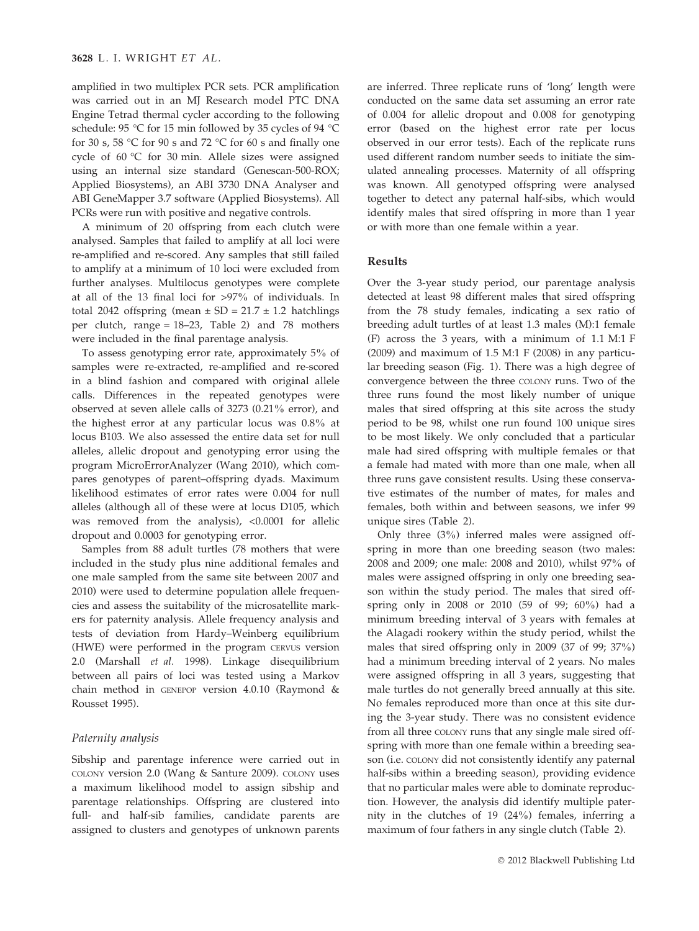amplified in two multiplex PCR sets. PCR amplification was carried out in an MJ Research model PTC DNA Engine Tetrad thermal cycler according to the following schedule: 95 °C for 15 min followed by 35 cycles of 94 °C for 30 s, 58 °C for 90 s and 72 °C for 60 s and finally one cycle of  $60^{\circ}$ C for 30 min. Allele sizes were assigned using an internal size standard (Genescan-500-ROX; Applied Biosystems), an ABI 3730 DNA Analyser and ABI GeneMapper 3.7 software (Applied Biosystems). All PCRs were run with positive and negative controls.

A minimum of 20 offspring from each clutch were analysed. Samples that failed to amplify at all loci were re-amplified and re-scored. Any samples that still failed to amplify at a minimum of 10 loci were excluded from further analyses. Multilocus genotypes were complete at all of the 13 final loci for >97% of individuals. In total 2042 offspring (mean  $\pm$  SD = 21.7  $\pm$  1.2 hatchlings per clutch, range = 18–23, Table 2) and 78 mothers were included in the final parentage analysis.

To assess genotyping error rate, approximately 5% of samples were re-extracted, re-amplified and re-scored in a blind fashion and compared with original allele calls. Differences in the repeated genotypes were observed at seven allele calls of 3273 (0.21% error), and the highest error at any particular locus was 0.8% at locus B103. We also assessed the entire data set for null alleles, allelic dropout and genotyping error using the program MicroErrorAnalyzer (Wang 2010), which compares genotypes of parent–offspring dyads. Maximum likelihood estimates of error rates were 0.004 for null alleles (although all of these were at locus D105, which was removed from the analysis), <0.0001 for allelic dropout and 0.0003 for genotyping error.

Samples from 88 adult turtles (78 mothers that were included in the study plus nine additional females and one male sampled from the same site between 2007 and 2010) were used to determine population allele frequencies and assess the suitability of the microsatellite markers for paternity analysis. Allele frequency analysis and tests of deviation from Hardy–Weinberg equilibrium (HWE) were performed in the program CERVUS version 2.0 (Marshall et al. 1998). Linkage disequilibrium between all pairs of loci was tested using a Markov chain method in GENEPOP version 4.0.10 (Raymond & Rousset 1995).

#### Paternity analysis

Sibship and parentage inference were carried out in COLONY version 2.0 (Wang & Santure 2009). COLONY uses a maximum likelihood model to assign sibship and parentage relationships. Offspring are clustered into full- and half-sib families, candidate parents are assigned to clusters and genotypes of unknown parents are inferred. Three replicate runs of 'long' length were conducted on the same data set assuming an error rate of 0.004 for allelic dropout and 0.008 for genotyping error (based on the highest error rate per locus observed in our error tests). Each of the replicate runs used different random number seeds to initiate the simulated annealing processes. Maternity of all offspring was known. All genotyped offspring were analysed together to detect any paternal half-sibs, which would identify males that sired offspring in more than 1 year or with more than one female within a year.

## Results

Over the 3-year study period, our parentage analysis detected at least 98 different males that sired offspring from the 78 study females, indicating a sex ratio of breeding adult turtles of at least 1.3 males (M):1 female (F) across the 3 years, with a minimum of 1.1 M:1 F (2009) and maximum of  $1.5$  M:1 F (2008) in any particular breeding season (Fig. 1). There was a high degree of convergence between the three COLONY runs. Two of the three runs found the most likely number of unique males that sired offspring at this site across the study period to be 98, whilst one run found 100 unique sires to be most likely. We only concluded that a particular male had sired offspring with multiple females or that a female had mated with more than one male, when all three runs gave consistent results. Using these conservative estimates of the number of mates, for males and females, both within and between seasons, we infer 99 unique sires (Table 2).

Only three (3%) inferred males were assigned offspring in more than one breeding season (two males: 2008 and 2009; one male: 2008 and 2010), whilst 97% of males were assigned offspring in only one breeding season within the study period. The males that sired offspring only in 2008 or 2010 (59 of 99; 60%) had a minimum breeding interval of 3 years with females at the Alagadi rookery within the study period, whilst the males that sired offspring only in 2009 (37 of 99; 37%) had a minimum breeding interval of 2 years. No males were assigned offspring in all 3 years, suggesting that male turtles do not generally breed annually at this site. No females reproduced more than once at this site during the 3-year study. There was no consistent evidence from all three COLONY runs that any single male sired offspring with more than one female within a breeding season (i.e. COLONY did not consistently identify any paternal half-sibs within a breeding season), providing evidence that no particular males were able to dominate reproduction. However, the analysis did identify multiple paternity in the clutches of 19 (24%) females, inferring a maximum of four fathers in any single clutch (Table 2).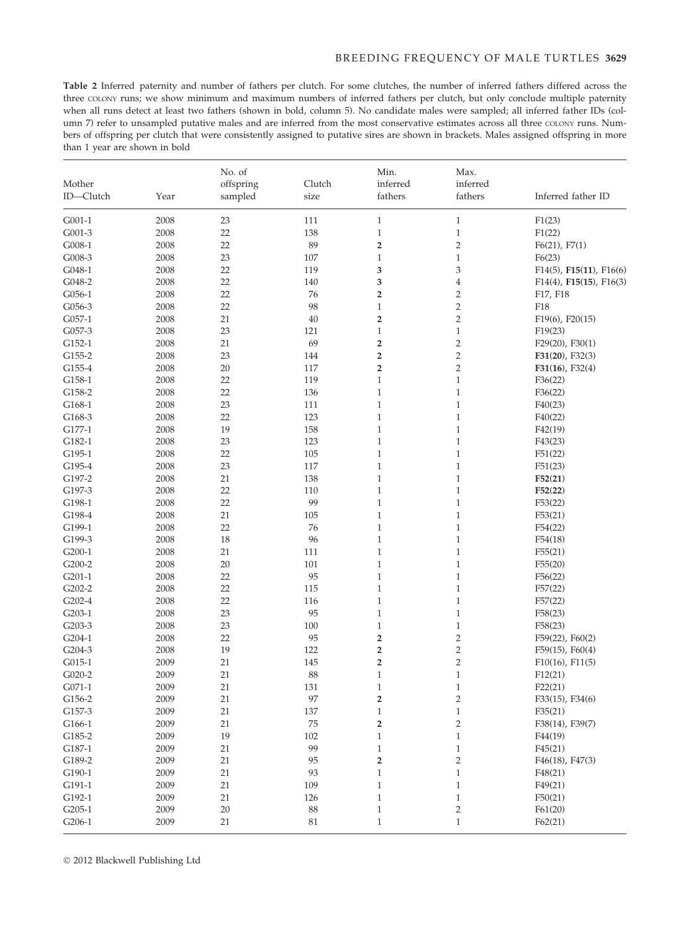Table 2 Inferred paternity and number of fathers per clutch. For some clutches, the number of inferred fathers differed across the three COLONY runs; we show minimum and maximum numbers of inferred fathers per clutch, but only conclude multiple paternity when all runs detect at least two fathers (shown in bold, column 5). No candidate males were sampled; all inferred father IDs (column 7) refer to unsampled putative males and are inferred from the most conservative estimates across all three COLONY runs. Numbers of offspring per clutch that were consistently assigned to putative sires are shown in brackets. Males assigned offspring in more than 1 year are shown in bold

| Mother<br>ID-Clutch | Year | No. of<br>offspring<br>sampled | Clutch<br>size | Min.<br>inferred<br>fathers | Max.<br>inferred<br>fathers | Inferred father ID              |  |
|---------------------|------|--------------------------------|----------------|-----------------------------|-----------------------------|---------------------------------|--|
| $G001-1$            | 2008 | 23                             | 111            | $\mathbf{1}$                | $\mathbf{1}$                | F1(23)                          |  |
| G001-3              | 2008 | 22                             | 138            | $\mathbf{1}$                | $\mathbf{1}$                | F1(22)                          |  |
| G008-1              | 2008 | 22                             | 89             | $\overline{\mathbf{c}}$     | $\overline{c}$              | $F6(21)$ , $F7(1)$              |  |
| G008-3              | 2008 | 23                             | 107            | $\mathbf{1}$                | $\,1\,$                     | F6(23)                          |  |
| G048-1              | 2008 | 22                             | 119            | 3                           | 3                           | F14(5), F15(11), F16(6)         |  |
| G048-2              | 2008 | 22                             | 140            | 3                           | 4                           | $F14(4)$ , $F15(15)$ , $F16(3)$ |  |
| $G056-1$            | 2008 | 22                             | 76             | $\overline{2}$              | $\overline{2}$              | F17, F18                        |  |
| G056-3              | 2008 | 22                             | 98             | $\mathbf{1}$                | $\overline{2}$              | F18                             |  |
| $G057-1$            | 2008 | 21                             | 40             | $\overline{2}$              | $\overline{2}$              | F19(6), F20(15)                 |  |
| G057-3              | 2008 | 23                             | 121            | $\mathbf{1}$                | $\mathbf{1}$                | F19(23)                         |  |
| G152-1              | 2008 | 21                             | 69             | $\overline{\mathbf{c}}$     | $\overline{c}$              | $F29(20)$ , $F30(1)$            |  |
| G155-2              | 2008 | 23                             | 144            | $\overline{\mathbf{2}}$     | $\overline{2}$              | $F31(20)$ , $F32(3)$            |  |
| G155-4              | 2008 | 20                             | 117            | $\overline{\mathbf{c}}$     | $\overline{2}$              | $F31(16)$ , $F32(4)$            |  |
| G158-1              | 2008 | 22                             | 119            | $\mathbf{1}$                | $\mathbf{1}$                | F36(22)                         |  |
| G158-2              | 2008 | 22                             | 136            | $\mathbf{1}$                | $\mathbf{1}$                | F36(22)                         |  |
| G168-1              | 2008 | 23                             | 111            | $\mathbf{1}$                | $\mathbf{1}$                | F40(23)                         |  |
| G168-3              | 2008 | 22                             | 123            | $\mathbf{1}$                | $\mathbf{1}$                | F40(22)                         |  |
| G177-1              | 2008 | 19                             | 158            | $\mathbf{1}$                | $\mathbf{1}$                | F42(19)                         |  |
| G182-1              | 2008 | 23                             | 123            | $\mathbf{1}$                | $\mathbf{1}$                | F43(23)                         |  |
| G195-1              | 2008 | 22                             | 105            | $\mathbf{1}$                | $\mathbf{1}$                | F51(22)                         |  |
| G195-4              | 2008 | 23                             | 117            | $\mathbf{1}$                | $\mathbf{1}$                | F51(23)                         |  |
| G197-2              | 2008 | 21                             | 138            | $\mathbf{1}$                | $\mathbf{1}$                | F52(21)                         |  |
| G197-3              | 2008 | 22                             | 110            | $\mathbf{1}$                | $\mathbf{1}$                | F52(22)                         |  |
| G198-1              | 2008 | 22                             | 99             | $\mathbf{1}$                | $\mathbf{1}$                | F53(22)                         |  |
| G198-4              | 2008 | 21                             | 105            | $\mathbf{1}$                | $\mathbf{1}$                | F53(21)                         |  |
| G199-1              | 2008 | 22                             | 76             | $\mathbf{1}$                | $\mathbf{1}$                | F54(22)                         |  |
| G199-3              | 2008 | 18                             | 96             | $\mathbf{1}$                | $\mathbf{1}$                | F54(18)                         |  |
| G200-1              | 2008 | 21                             | 111            | $\mathbf{1}$                | $\mathbf{1}$                | F55(21)                         |  |
| G200-2              | 2008 | $20\,$                         | 101            | $\mathbf{1}$                | $\mathbf{1}$                | F55(20)                         |  |
| $G201-1$            | 2008 | 22                             | 95             | $\mathbf{1}$                | $\mathbf{1}$                | F56(22)                         |  |
| G202-2              | 2008 | 22                             | 115            | $\mathbf{1}$                | $\mathbf{1}$                | F57(22)                         |  |
| G202-4              | 2008 | 22                             | 116            | $\mathbf{1}$                | $\mathbf{1}$                | F57(22)                         |  |
| $G203-1$            | 2008 | 23                             | 95             | $\mathbf{1}$                | $\mathbf{1}$                | F58(23)                         |  |
| G203-3              | 2008 | 23                             | 100            | $\mathbf{1}$                | $\mathbf{1}$                | F58(23)                         |  |
| G204-1              | 2008 | 22                             | 95             | $\overline{\mathbf{c}}$     | $\overline{2}$              | F59(22), F60(2)                 |  |
| G204-3              | 2008 | 19                             | 122            | $\overline{\mathbf{2}}$     | $\overline{2}$              | $F59(15)$ , $F60(4)$            |  |
| G015-1              | 2009 | 21                             | 145            | $\overline{\mathbf{2}}$     | $\overline{\mathbf{c}}$     | $F10(16)$ , $F11(5)$            |  |
| G020-2              | 2009 | 21                             | 88             | $\mathbf{1}$                | $\mathbf{1}$                | F12(21)                         |  |
| $G071-1$            | 2009 | 21                             | 131            | $\,1$                       | $\mathbf{1}$                | F22(21)                         |  |
| G156-2              | 2009 | 21                             | 97             | $\overline{\mathbf{2}}$     | $\overline{2}$              | F33(15), F34(6)                 |  |
| G157-3              | 2009 | $21\,$                         | 137            | $\mathbf{1}$                | $\mathbf{1}$                | F35(21)                         |  |
| G166-1              | 2009 | $21\,$                         | $\rm 75$       | $\overline{\mathbf{c}}$     | $\overline{c}$              | F38(14), F39(7)                 |  |
| G185-2              | 2009 | 19                             | $102\,$        | $\,1$                       | $\mathbf{1}$                | F44(19)                         |  |
| $G187-1$            | 2009 | 21                             | 99             | $\mathbf{1}$                | $\mathbf{1}$                | F45(21)                         |  |
| G189-2              | 2009 | 21                             | 95             | 2                           | 2                           | $F46(18)$ , $F47(3)$            |  |
| G190-1              | 2009 | $21\,$                         | 93             | $\,1$                       | $\mathbf{1}$                | F48(21)                         |  |
| G191-1              | 2009 | $21\,$                         | 109            | $\,1$                       | $\mathbf{1}$                | F49(21)                         |  |
| G192-1              | 2009 | 21                             | 126            | $\mathbf{1}$                | $\mathbf{1}$                | F50(21)                         |  |
| $G205-1$            | 2009 | 20                             | $88\,$         | $\mathbf{1}$                | $\sqrt{2}$                  | F61(20)                         |  |
| $G206-1$            | 2009 | $21\,$                         | 81             | $\mathbf{1}$                | $\,1$                       | F62(21)                         |  |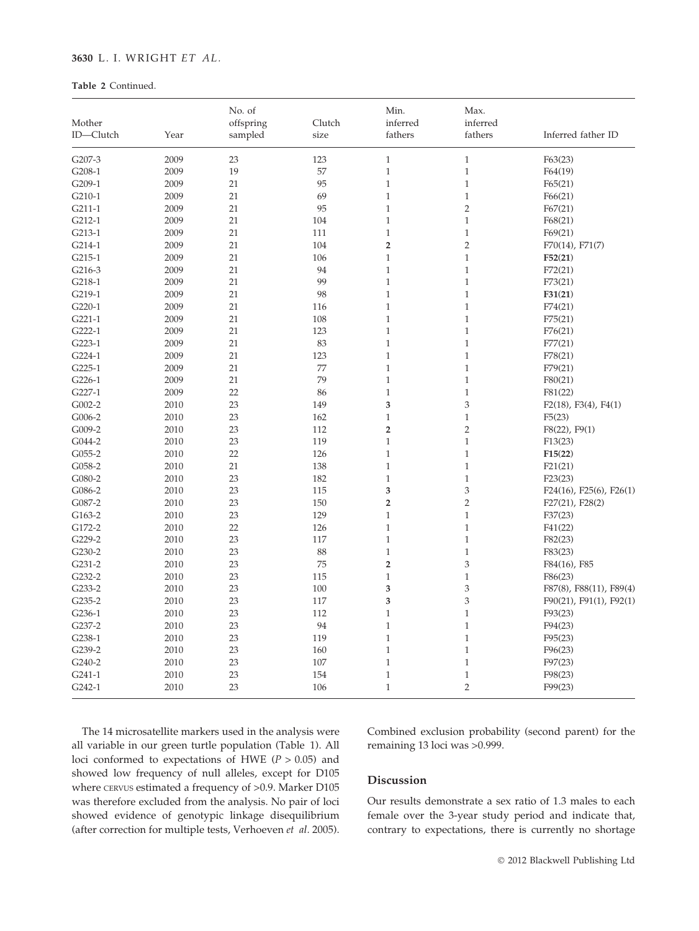# 3630 L. I. WRIGHT ET AL.

## Table 2 Continued.

|           |      | No. of    |        | Min.                    | Max.           |                              |  |
|-----------|------|-----------|--------|-------------------------|----------------|------------------------------|--|
| Mother    |      | offspring | Clutch | inferred                | inferred       |                              |  |
| ID-Clutch | Year | sampled   | size   | fathers                 | fathers        | Inferred father ID           |  |
| G207-3    | 2009 | 23        | 123    | $\mathbf{1}$            | $\,1$          | F63(23)                      |  |
| G208-1    | 2009 | 19        | 57     | $\mathbf{1}$            | $\,1$          | F64(19)                      |  |
| G209-1    | 2009 | 21        | 95     | $\mathbf{1}$            | $\mathbf{1}$   | F65(21)                      |  |
| G210-1    | 2009 | 21        | 69     | $\mathbf{1}$            | $\,1$          | F66(21)                      |  |
| $G211-1$  | 2009 | 21        | 95     | $\mathbf{1}$            | $\overline{2}$ | F67(21)                      |  |
| G212-1    | 2009 | 21        | 104    | $\mathbf{1}$            | $\,1$          | F68(21)                      |  |
| G213-1    | 2009 | 21        | 111    | $\mathbf{1}$            | $\mathbf{1}$   | F69(21)                      |  |
| G214-1    | 2009 | 21        | 104    | $\overline{2}$          | $\overline{2}$ | $F70(14)$ , $F71(7)$         |  |
| G215-1    | 2009 | 21        | 106    | $\mathbf{1}$            | $\mathbf{1}$   | F52(21)                      |  |
| G216-3    | 2009 | 21        | 94     | $\mathbf{1}$            | $\mathbf{1}$   | F72(21)                      |  |
| G218-1    | 2009 | 21        | 99     | $\mathbf{1}$            | $\mathbf{1}$   | F73(21)                      |  |
| G219-1    | 2009 | 21        | 98     | $\mathbf{1}$            | $\mathbf{1}$   | F31(21)                      |  |
| G220-1    | 2009 | 21        | 116    | $\mathbf{1}$            | $\mathbf{1}$   | F74(21)                      |  |
| $G221-1$  | 2009 | 21        | 108    | $\mathbf{1}$            | $\,1$          | F75(21)                      |  |
| G222-1    | 2009 | 21        | 123    | $\mathbf{1}$            | $\mathbf{1}$   | F76(21)                      |  |
| $G223-1$  | 2009 | 21        | 83     | $\mathbf{1}$            | $\,1$          | F77(21)                      |  |
| G224-1    | 2009 | 21        | 123    | $\mathbf{1}$            | $\mathbf{1}$   | F78(21)                      |  |
| $G225-1$  | 2009 | 21        | 77     | $\mathbf{1}$            | $\,1$          | F79(21)                      |  |
| G226-1    | 2009 | 21        | 79     | $\mathbf{1}$            | $\mathbf{1}$   | F80(21)                      |  |
| G227-1    | 2009 | 22        | 86     | $\mathbf{1}$            | $\mathbf{1}$   | F81(22)                      |  |
| G002-2    | 2010 | 23        | 149    | 3                       | 3              | $F2(18)$ , $F3(4)$ , $F4(1)$ |  |
| G006-2    | 2010 | 23        | 162    | $\mathbf{1}$            | $\,1$          | F5(23)                       |  |
| G009-2    | 2010 | 23        | 112    | $\overline{2}$          | $\sqrt{2}$     | $F8(22)$ , $F9(1)$           |  |
| G044-2    | 2010 | 23        | 119    | $\mathbf{1}$            | $\,1$          | F13(23)                      |  |
| $G055-2$  | 2010 | 22        | 126    | $\mathbf{1}$            | $\mathbf{1}$   | F15(22)                      |  |
| G058-2    | 2010 | 21        | 138    | $\,1$                   | $\,1$          | F21(21)                      |  |
| G080-2    | 2010 | 23        | 182    | $\mathbf{1}$            | $\mathbf{1}$   | F23(23)                      |  |
| G086-2    | 2010 | 23        | 115    | 3                       | 3              | F24(16), F25(6), F26(1)      |  |
| G087-2    | 2010 | 23        | 150    | $\overline{\mathbf{c}}$ | $\overline{2}$ | $F27(21)$ , $F28(2)$         |  |
| G163-2    | 2010 | 23        | 129    | $\mathbf{1}$            | $\mathbf{1}$   | F37(23)                      |  |
| G172-2    | 2010 | 22        | 126    | $\mathbf{1}$            | $\mathbf{1}$   | F41(22)                      |  |
| G229-2    | 2010 | 23        | 117    | $\mathbf{1}$            | $\mathbf{1}$   | F82(23)                      |  |
| G230-2    | 2010 | 23        | 88     | $\mathbf{1}$            | $\mathbf{1}$   | F83(23)                      |  |
| G231-2    | 2010 | 23        | 75     | $\overline{2}$          | 3              | F84(16), F85                 |  |
| G232-2    | 2010 | 23        | 115    | $\mathbf{1}$            | $\mathbf{1}$   | F86(23)                      |  |
| G233-2    | 2010 | 23        | 100    | 3                       | 3              | F87(8), F88(11), F89(4)      |  |
| G235-2    | 2010 | 23        | 117    | 3                       | 3              | F90(21), F91(1), F92(1)      |  |
| G236-1    | 2010 | 23        | 112    | $\mathbf{1}$            | $\,1$          | F93(23)                      |  |
| G237-2    | 2010 | 23        | 94     | $\mathbf{1}$            | $\mathbf{1}$   | F94(23)                      |  |
| G238-1    | 2010 | 23        | 119    | $\mathbf{1}$            | $\mathbf{1}$   | F95(23)                      |  |
| G239-2    | 2010 | 23        | 160    | $\mathbf{1}$            | $\mathbf{1}$   | F96(23)                      |  |
| G240-2    | 2010 | 23        | 107    | $\mathbf{1}$            | $\,1$          | F97(23)                      |  |
| $G241-1$  | 2010 | 23        | 154    | $\mathbf 1$             | $\,1$          | F98(23)                      |  |
| G242-1    | 2010 | 23        | 106    | $\mathbf{1}$            | $\overline{2}$ | F99(23)                      |  |

The 14 microsatellite markers used in the analysis were all variable in our green turtle population (Table 1). All loci conformed to expectations of HWE ( $P > 0.05$ ) and showed low frequency of null alleles, except for D105 where CERVUS estimated a frequency of >0.9. Marker D105 was therefore excluded from the analysis. No pair of loci showed evidence of genotypic linkage disequilibrium (after correction for multiple tests, Verhoeven et al. 2005). Combined exclusion probability (second parent) for the remaining 13 loci was >0.999.

# Discussion

Our results demonstrate a sex ratio of 1.3 males to each female over the 3-year study period and indicate that, contrary to expectations, there is currently no shortage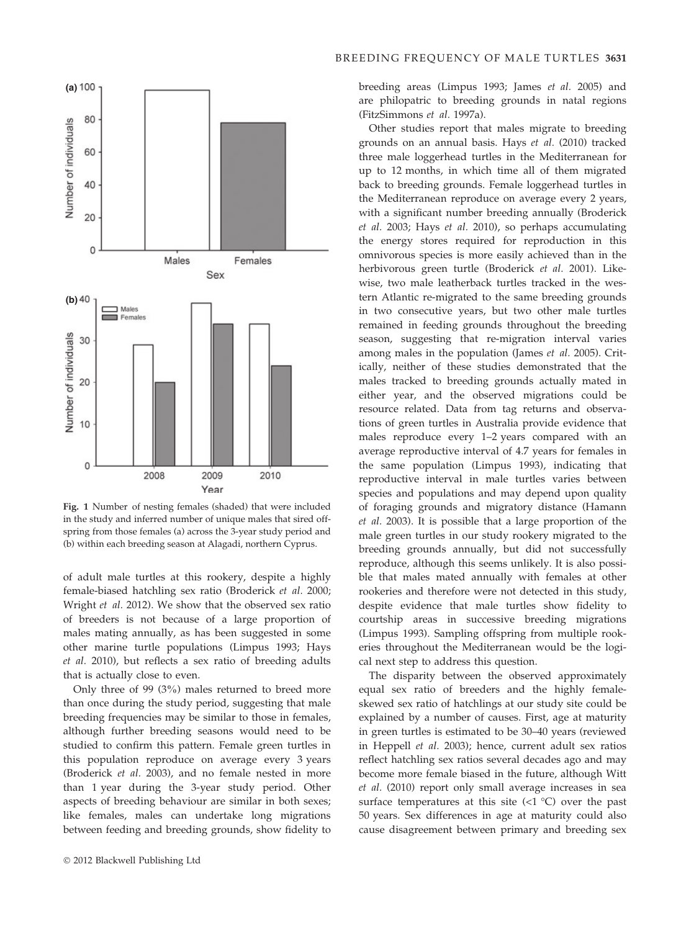

Fig. 1 Number of nesting females (shaded) that were included in the study and inferred number of unique males that sired offspring from those females (a) across the 3-year study period and (b) within each breeding season at Alagadi, northern Cyprus.

of adult male turtles at this rookery, despite a highly female-biased hatchling sex ratio (Broderick et al. 2000; Wright et al. 2012). We show that the observed sex ratio of breeders is not because of a large proportion of males mating annually, as has been suggested in some other marine turtle populations (Limpus 1993; Hays et al. 2010), but reflects a sex ratio of breeding adults that is actually close to even.

Only three of 99 (3%) males returned to breed more than once during the study period, suggesting that male breeding frequencies may be similar to those in females, although further breeding seasons would need to be studied to confirm this pattern. Female green turtles in this population reproduce on average every 3 years (Broderick et al. 2003), and no female nested in more than 1 year during the 3-year study period. Other aspects of breeding behaviour are similar in both sexes; like females, males can undertake long migrations between feeding and breeding grounds, show fidelity to

breeding areas (Limpus 1993; James et al. 2005) and are philopatric to breeding grounds in natal regions (FitzSimmons et al. 1997a).

Other studies report that males migrate to breeding grounds on an annual basis. Hays et al. (2010) tracked three male loggerhead turtles in the Mediterranean for up to 12 months, in which time all of them migrated back to breeding grounds. Female loggerhead turtles in the Mediterranean reproduce on average every 2 years, with a significant number breeding annually (Broderick et al. 2003; Hays et al. 2010), so perhaps accumulating the energy stores required for reproduction in this omnivorous species is more easily achieved than in the herbivorous green turtle (Broderick et al. 2001). Likewise, two male leatherback turtles tracked in the western Atlantic re-migrated to the same breeding grounds in two consecutive years, but two other male turtles remained in feeding grounds throughout the breeding season, suggesting that re-migration interval varies among males in the population (James et al. 2005). Critically, neither of these studies demonstrated that the males tracked to breeding grounds actually mated in either year, and the observed migrations could be resource related. Data from tag returns and observations of green turtles in Australia provide evidence that males reproduce every 1–2 years compared with an average reproductive interval of 4.7 years for females in the same population (Limpus 1993), indicating that reproductive interval in male turtles varies between species and populations and may depend upon quality of foraging grounds and migratory distance (Hamann et al. 2003). It is possible that a large proportion of the male green turtles in our study rookery migrated to the breeding grounds annually, but did not successfully reproduce, although this seems unlikely. It is also possible that males mated annually with females at other rookeries and therefore were not detected in this study, despite evidence that male turtles show fidelity to courtship areas in successive breeding migrations (Limpus 1993). Sampling offspring from multiple rookeries throughout the Mediterranean would be the logical next step to address this question.

The disparity between the observed approximately equal sex ratio of breeders and the highly femaleskewed sex ratio of hatchlings at our study site could be explained by a number of causes. First, age at maturity in green turtles is estimated to be 30–40 years (reviewed in Heppell et al. 2003); hence, current adult sex ratios reflect hatchling sex ratios several decades ago and may become more female biased in the future, although Witt et al. (2010) report only small average increases in sea surface temperatures at this site  $\left($  < 1 °C) over the past 50 years. Sex differences in age at maturity could also cause disagreement between primary and breeding sex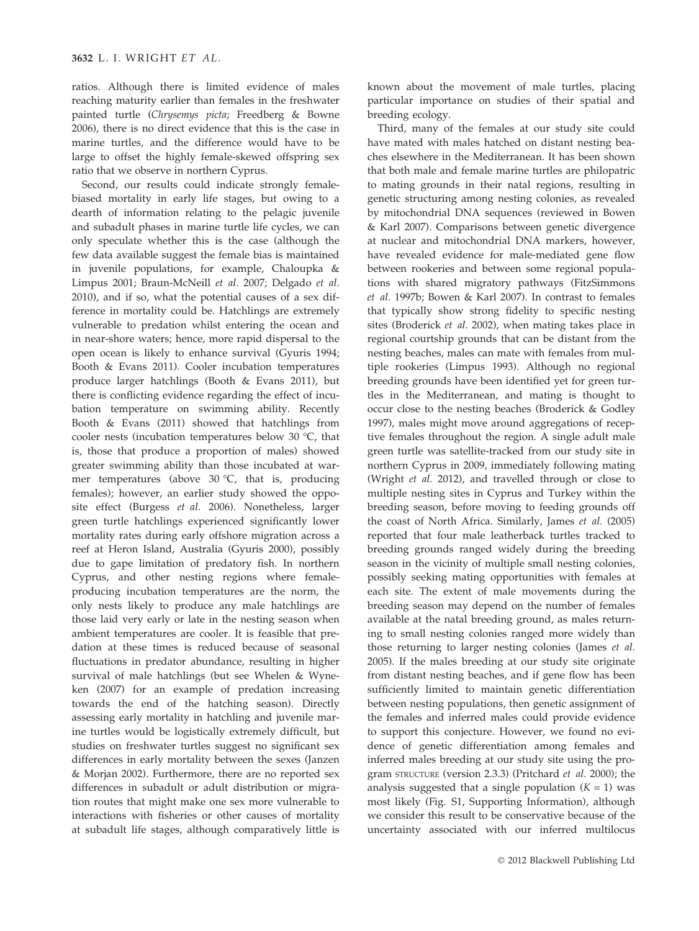ratios. Although there is limited evidence of males reaching maturity earlier than females in the freshwater painted turtle (Chrysemys picta; Freedberg & Bowne 2006), there is no direct evidence that this is the case in marine turtles, and the difference would have to be large to offset the highly female-skewed offspring sex ratio that we observe in northern Cyprus.

Second, our results could indicate strongly femalebiased mortality in early life stages, but owing to a dearth of information relating to the pelagic juvenile and subadult phases in marine turtle life cycles, we can only speculate whether this is the case (although the few data available suggest the female bias is maintained in juvenile populations, for example, Chaloupka & Limpus 2001; Braun-McNeill et al. 2007; Delgado et al. 2010), and if so, what the potential causes of a sex difference in mortality could be. Hatchlings are extremely vulnerable to predation whilst entering the ocean and in near-shore waters; hence, more rapid dispersal to the open ocean is likely to enhance survival (Gyuris 1994; Booth & Evans 2011). Cooler incubation temperatures produce larger hatchlings (Booth & Evans 2011), but there is conflicting evidence regarding the effect of incubation temperature on swimming ability. Recently Booth & Evans (2011) showed that hatchlings from cooler nests (incubation temperatures below 30  $^{\circ}$ C, that is, those that produce a proportion of males) showed greater swimming ability than those incubated at warmer temperatures (above  $30^{\circ}$ C, that is, producing females); however, an earlier study showed the opposite effect (Burgess et al. 2006). Nonetheless, larger green turtle hatchlings experienced significantly lower mortality rates during early offshore migration across a reef at Heron Island, Australia (Gyuris 2000), possibly due to gape limitation of predatory fish. In northern Cyprus, and other nesting regions where femaleproducing incubation temperatures are the norm, the only nests likely to produce any male hatchlings are those laid very early or late in the nesting season when ambient temperatures are cooler. It is feasible that predation at these times is reduced because of seasonal fluctuations in predator abundance, resulting in higher survival of male hatchlings (but see Whelen & Wyneken (2007) for an example of predation increasing towards the end of the hatching season). Directly assessing early mortality in hatchling and juvenile marine turtles would be logistically extremely difficult, but studies on freshwater turtles suggest no significant sex differences in early mortality between the sexes (Janzen & Morjan 2002). Furthermore, there are no reported sex differences in subadult or adult distribution or migration routes that might make one sex more vulnerable to interactions with fisheries or other causes of mortality at subadult life stages, although comparatively little is

known about the movement of male turtles, placing particular importance on studies of their spatial and breeding ecology.

Third, many of the females at our study site could have mated with males hatched on distant nesting beaches elsewhere in the Mediterranean. It has been shown that both male and female marine turtles are philopatric to mating grounds in their natal regions, resulting in genetic structuring among nesting colonies, as revealed by mitochondrial DNA sequences (reviewed in Bowen & Karl 2007). Comparisons between genetic divergence at nuclear and mitochondrial DNA markers, however, have revealed evidence for male-mediated gene flow between rookeries and between some regional populations with shared migratory pathways (FitzSimmons et al. 1997b; Bowen & Karl 2007). In contrast to females that typically show strong fidelity to specific nesting sites (Broderick et al. 2002), when mating takes place in regional courtship grounds that can be distant from the nesting beaches, males can mate with females from multiple rookeries (Limpus 1993). Although no regional breeding grounds have been identified yet for green turtles in the Mediterranean, and mating is thought to occur close to the nesting beaches (Broderick & Godley 1997), males might move around aggregations of receptive females throughout the region. A single adult male green turtle was satellite-tracked from our study site in northern Cyprus in 2009, immediately following mating (Wright et al. 2012), and travelled through or close to multiple nesting sites in Cyprus and Turkey within the breeding season, before moving to feeding grounds off the coast of North Africa. Similarly, James et al. (2005) reported that four male leatherback turtles tracked to breeding grounds ranged widely during the breeding season in the vicinity of multiple small nesting colonies, possibly seeking mating opportunities with females at each site. The extent of male movements during the breeding season may depend on the number of females available at the natal breeding ground, as males returning to small nesting colonies ranged more widely than those returning to larger nesting colonies (James et al. 2005). If the males breeding at our study site originate from distant nesting beaches, and if gene flow has been sufficiently limited to maintain genetic differentiation between nesting populations, then genetic assignment of the females and inferred males could provide evidence to support this conjecture. However, we found no evidence of genetic differentiation among females and inferred males breeding at our study site using the program STRUCTURE (version 2.3.3) (Pritchard et al. 2000); the analysis suggested that a single population  $(K = 1)$  was most likely (Fig. S1, Supporting Information), although we consider this result to be conservative because of the uncertainty associated with our inferred multilocus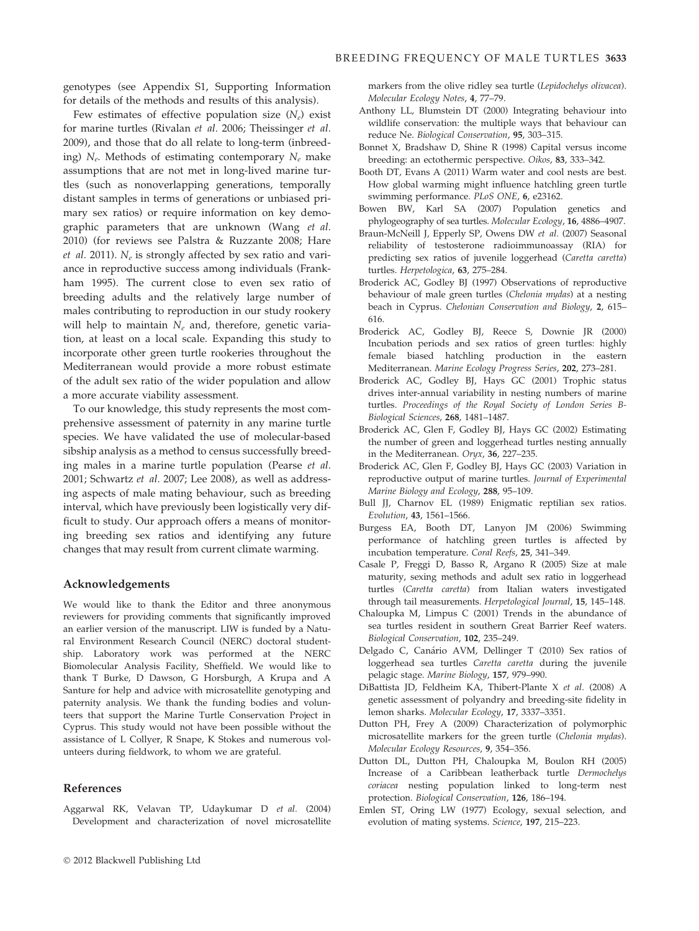genotypes (see Appendix S1, Supporting Information for details of the methods and results of this analysis).

Few estimates of effective population size  $(N_e)$  exist for marine turtles (Rivalan et al. 2006; Theissinger et al. 2009), and those that do all relate to long-term (inbreeding)  $N_e$ . Methods of estimating contemporary  $N_e$  make assumptions that are not met in long-lived marine turtles (such as nonoverlapping generations, temporally distant samples in terms of generations or unbiased primary sex ratios) or require information on key demographic parameters that are unknown (Wang et al. 2010) (for reviews see Palstra & Ruzzante 2008; Hare *et al.* 2011).  $N_e$  is strongly affected by sex ratio and variance in reproductive success among individuals (Frankham 1995). The current close to even sex ratio of breeding adults and the relatively large number of males contributing to reproduction in our study rookery will help to maintain  $N_e$  and, therefore, genetic variation, at least on a local scale. Expanding this study to incorporate other green turtle rookeries throughout the Mediterranean would provide a more robust estimate of the adult sex ratio of the wider population and allow a more accurate viability assessment.

To our knowledge, this study represents the most comprehensive assessment of paternity in any marine turtle species. We have validated the use of molecular-based sibship analysis as a method to census successfully breeding males in a marine turtle population (Pearse et al. 2001; Schwartz et al. 2007; Lee 2008), as well as addressing aspects of male mating behaviour, such as breeding interval, which have previously been logistically very difficult to study. Our approach offers a means of monitoring breeding sex ratios and identifying any future changes that may result from current climate warming.

## Acknowledgements

We would like to thank the Editor and three anonymous reviewers for providing comments that significantly improved an earlier version of the manuscript. LIW is funded by a Natural Environment Research Council (NERC) doctoral studentship. Laboratory work was performed at the NERC Biomolecular Analysis Facility, Sheffield. We would like to thank T Burke, D Dawson, G Horsburgh, A Krupa and A Santure for help and advice with microsatellite genotyping and paternity analysis. We thank the funding bodies and volunteers that support the Marine Turtle Conservation Project in Cyprus. This study would not have been possible without the assistance of L Collyer, R Snape, K Stokes and numerous volunteers during fieldwork, to whom we are grateful.

#### References

Aggarwal RK, Velavan TP, Udaykumar D et al. (2004) Development and characterization of novel microsatellite markers from the olive ridley sea turtle (Lepidochelys olivacea). Molecular Ecology Notes, 4, 77–79.

- Anthony LL, Blumstein DT (2000) Integrating behaviour into wildlife conservation: the multiple ways that behaviour can reduce Ne. Biological Conservation, 95, 303–315.
- Bonnet X, Bradshaw D, Shine R (1998) Capital versus income breeding: an ectothermic perspective. Oikos, 83, 333–342.
- Booth DT, Evans A (2011) Warm water and cool nests are best. How global warming might influence hatchling green turtle swimming performance. PLoS ONE, 6, e23162.
- Bowen BW, Karl SA (2007) Population genetics and phylogeography of sea turtles. Molecular Ecology, 16, 4886–4907.
- Braun-McNeill J, Epperly SP, Owens DW et al. (2007) Seasonal reliability of testosterone radioimmunoassay (RIA) for predicting sex ratios of juvenile loggerhead (Caretta caretta) turtles. Herpetologica, 63, 275–284.
- Broderick AC, Godley BJ (1997) Observations of reproductive behaviour of male green turtles (Chelonia mydas) at a nesting beach in Cyprus. Chelonian Conservation and Biology, 2, 615– 616.
- Broderick AC, Godley BJ, Reece S, Downie JR (2000) Incubation periods and sex ratios of green turtles: highly female biased hatchling production in the eastern Mediterranean. Marine Ecology Progress Series, 202, 273–281.
- Broderick AC, Godley BJ, Hays GC (2001) Trophic status drives inter-annual variability in nesting numbers of marine turtles. Proceedings of the Royal Society of London Series B-Biological Sciences, 268, 1481–1487.
- Broderick AC, Glen F, Godley BJ, Hays GC (2002) Estimating the number of green and loggerhead turtles nesting annually in the Mediterranean. Oryx, 36, 227–235.
- Broderick AC, Glen F, Godley BJ, Hays GC (2003) Variation in reproductive output of marine turtles. Journal of Experimental Marine Biology and Ecology, 288, 95–109.
- Bull JJ, Charnov EL (1989) Enigmatic reptilian sex ratios. Evolution, 43, 1561–1566.
- Burgess EA, Booth DT, Lanyon JM (2006) Swimming performance of hatchling green turtles is affected by incubation temperature. Coral Reefs, 25, 341–349.
- Casale P, Freggi D, Basso R, Argano R (2005) Size at male maturity, sexing methods and adult sex ratio in loggerhead turtles (Caretta caretta) from Italian waters investigated through tail measurements. Herpetological Journal, 15, 145–148.
- Chaloupka M, Limpus C (2001) Trends in the abundance of sea turtles resident in southern Great Barrier Reef waters. Biological Conservation, 102, 235–249.
- Delgado C, Canário AVM, Dellinger T (2010) Sex ratios of loggerhead sea turtles Caretta caretta during the juvenile pelagic stage. Marine Biology, 157, 979–990.
- DiBattista JD, Feldheim KA, Thibert-Plante X et al. (2008) A genetic assessment of polyandry and breeding-site fidelity in lemon sharks. Molecular Ecology, 17, 3337–3351.
- Dutton PH, Frey A (2009) Characterization of polymorphic microsatellite markers for the green turtle (Chelonia mydas). Molecular Ecology Resources, 9, 354–356.
- Dutton DL, Dutton PH, Chaloupka M, Boulon RH (2005) Increase of a Caribbean leatherback turtle Dermochelys coriacea nesting population linked to long-term nest protection. Biological Conservation, 126, 186–194.
- Emlen ST, Oring LW (1977) Ecology, sexual selection, and evolution of mating systems. Science, 197, 215–223.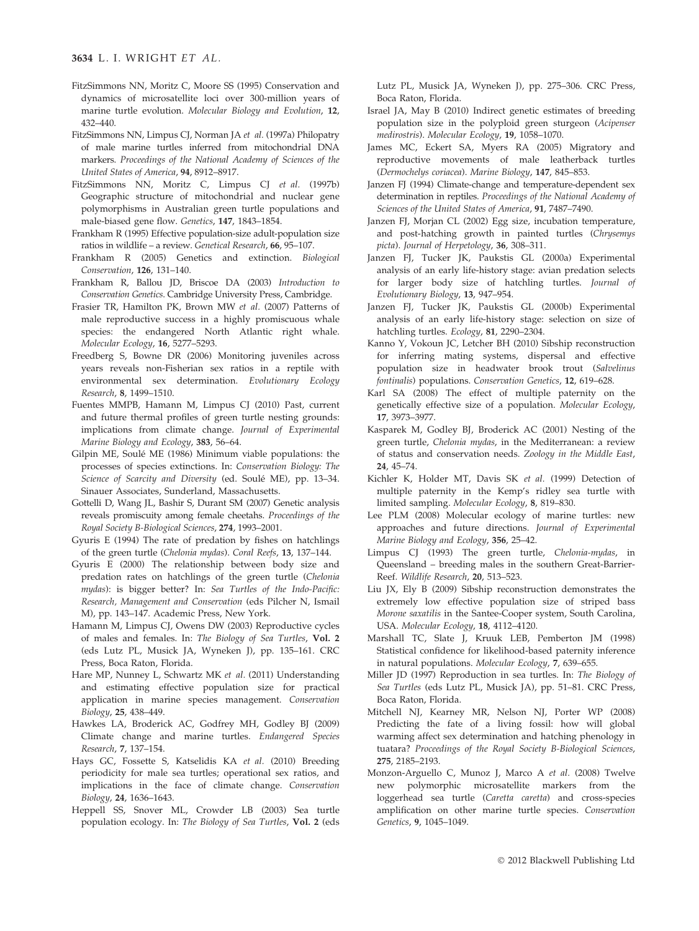- FitzSimmons NN, Moritz C, Moore SS (1995) Conservation and dynamics of microsatellite loci over 300-million years of marine turtle evolution. Molecular Biology and Evolution, 12, 432–440.
- FitzSimmons NN, Limpus CJ, Norman JA et al. (1997a) Philopatry of male marine turtles inferred from mitochondrial DNA markers. Proceedings of the National Academy of Sciences of the United States of America, 94, 8912–8917.
- FitzSimmons NN, Moritz C, Limpus CJ et al. (1997b) Geographic structure of mitochondrial and nuclear gene polymorphisms in Australian green turtle populations and male-biased gene flow. Genetics, 147, 1843–1854.
- Frankham R (1995) Effective population-size adult-population size ratios in wildlife – a review. Genetical Research, 66, 95–107.
- Frankham R (2005) Genetics and extinction. Biological Conservation, 126, 131–140.
- Frankham R, Ballou JD, Briscoe DA (2003) Introduction to Conservation Genetics. Cambridge University Press, Cambridge.
- Frasier TR, Hamilton PK, Brown MW et al. (2007) Patterns of male reproductive success in a highly promiscuous whale species: the endangered North Atlantic right whale. Molecular Ecology, 16, 5277–5293.
- Freedberg S, Bowne DR (2006) Monitoring juveniles across years reveals non-Fisherian sex ratios in a reptile with environmental sex determination. Evolutionary Ecology Research, 8, 1499–1510.
- Fuentes MMPB, Hamann M, Limpus CJ (2010) Past, current and future thermal profiles of green turtle nesting grounds: implications from climate change. Journal of Experimental Marine Biology and Ecology, 383, 56–64.
- Gilpin ME, Soulé ME (1986) Minimum viable populations: the processes of species extinctions. In: Conservation Biology: The Science of Scarcity and Diversity (ed. Soulé ME), pp. 13–34. Sinauer Associates, Sunderland, Massachusetts.
- Gottelli D, Wang JL, Bashir S, Durant SM (2007) Genetic analysis reveals promiscuity among female cheetahs. Proceedings of the Royal Society B-Biological Sciences, 274, 1993–2001.
- Gyuris E (1994) The rate of predation by fishes on hatchlings of the green turtle (Chelonia mydas). Coral Reefs, 13, 137–144.
- Gyuris E (2000) The relationship between body size and predation rates on hatchlings of the green turtle (Chelonia mydas): is bigger better? In: Sea Turtles of the Indo-Pacific: Research, Management and Conservation (eds Pilcher N, Ismail M), pp. 143–147. Academic Press, New York.
- Hamann M, Limpus CJ, Owens DW (2003) Reproductive cycles of males and females. In: The Biology of Sea Turtles, Vol. 2 (eds Lutz PL, Musick JA, Wyneken J), pp. 135–161. CRC Press, Boca Raton, Florida.
- Hare MP, Nunney L, Schwartz MK et al. (2011) Understanding and estimating effective population size for practical application in marine species management. Conservation Biology, 25, 438–449.
- Hawkes LA, Broderick AC, Godfrey MH, Godley BJ (2009) Climate change and marine turtles. Endangered Species Research, 7, 137–154.
- Hays GC, Fossette S, Katselidis KA et al. (2010) Breeding periodicity for male sea turtles; operational sex ratios, and implications in the face of climate change. Conservation Biology, 24, 1636–1643.
- Heppell SS, Snover ML, Crowder LB (2003) Sea turtle population ecology. In: The Biology of Sea Turtles, Vol. 2 (eds

Lutz PL, Musick JA, Wyneken J), pp. 275–306. CRC Press, Boca Raton, Florida.

- Israel JA, May B (2010) Indirect genetic estimates of breeding population size in the polyploid green sturgeon (Acipenser medirostris). Molecular Ecology, 19, 1058–1070.
- James MC, Eckert SA, Myers RA (2005) Migratory and reproductive movements of male leatherback turtles (Dermochelys coriacea). Marine Biology, 147, 845–853.
- Janzen FJ (1994) Climate-change and temperature-dependent sex determination in reptiles. Proceedings of the National Academy of Sciences of the United States of America, 91, 7487–7490.
- Janzen FJ, Morjan CL (2002) Egg size, incubation temperature, and post-hatching growth in painted turtles (Chrysemys picta). Journal of Herpetology, 36, 308–311.
- Janzen FJ, Tucker JK, Paukstis GL (2000a) Experimental analysis of an early life-history stage: avian predation selects for larger body size of hatchling turtles. Journal of Evolutionary Biology, 13, 947–954.
- Janzen FJ, Tucker JK, Paukstis GL (2000b) Experimental analysis of an early life-history stage: selection on size of hatchling turtles. Ecology, 81, 2290–2304.
- Kanno Y, Vokoun JC, Letcher BH (2010) Sibship reconstruction for inferring mating systems, dispersal and effective population size in headwater brook trout (Salvelinus fontinalis) populations. Conservation Genetics, 12, 619–628.
- Karl SA (2008) The effect of multiple paternity on the genetically effective size of a population. Molecular Ecology, 17, 3973–3977.
- Kasparek M, Godley BJ, Broderick AC (2001) Nesting of the green turtle, Chelonia mydas, in the Mediterranean: a review of status and conservation needs. Zoology in the Middle East, 24, 45–74.
- Kichler K, Holder MT, Davis SK et al. (1999) Detection of multiple paternity in the Kemp's ridley sea turtle with limited sampling. Molecular Ecology, 8, 819–830.
- Lee PLM (2008) Molecular ecology of marine turtles: new approaches and future directions. Journal of Experimental Marine Biology and Ecology, 356, 25–42.
- Limpus CJ (1993) The green turtle, Chelonia-mydas, in Queensland – breeding males in the southern Great-Barrier-Reef. Wildlife Research, 20, 513–523.
- Liu JX, Ely B (2009) Sibship reconstruction demonstrates the extremely low effective population size of striped bass Morone saxatilis in the Santee-Cooper system, South Carolina, USA. Molecular Ecology, 18, 4112–4120.
- Marshall TC, Slate J, Kruuk LEB, Pemberton JM (1998) Statistical confidence for likelihood-based paternity inference in natural populations. Molecular Ecology, 7, 639–655.
- Miller JD (1997) Reproduction in sea turtles. In: The Biology of Sea Turtles (eds Lutz PL, Musick JA), pp. 51–81. CRC Press, Boca Raton, Florida.
- Mitchell NJ, Kearney MR, Nelson NJ, Porter WP (2008) Predicting the fate of a living fossil: how will global warming affect sex determination and hatching phenology in tuatara? Proceedings of the Royal Society B-Biological Sciences, 275, 2185–2193.
- Monzon-Arguello C, Munoz J, Marco A et al. (2008) Twelve new polymorphic microsatellite markers from the loggerhead sea turtle (Caretta caretta) and cross-species amplification on other marine turtle species. Conservation Genetics, 9, 1045–1049.